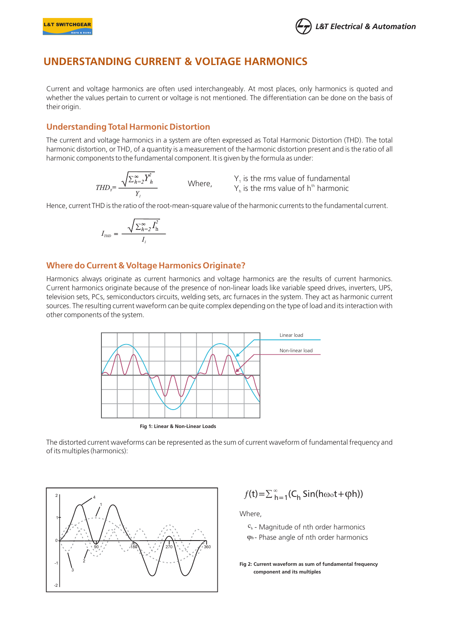



# UNDERSTANDING CURRENT & VOLTAGE HARMONICS **UNDERSTANDING CURRENT & VOLTAGE HARMONICS**

Current and voltage harmonics are often used interchangeably. At most places, only harmonics is quoted and whether the values pertain to current or voltage is not mentioned. The differentiation can be done on the basis of their origin.

### **Understanding Total Harmonic Distortion**

The current and voltage harmonics in a system are often expressed as Total Harmonic Distortion (THD). The total harmonic distortion, or THD, of a quantity is a measurement of the harmonic distortion present and is the ratio of all harmonic components to the fundamental component. It is given by the formula as under:

$$
THD_{\gamma} = \frac{\sqrt{\sum_{h=2}^{\infty} Y_h^2}}{Y}
$$
 Where, Y

 $y_1$  is the rms value of fundamental  $\gamma$  is the rms value of h<sup>th</sup> harmonic

Hence, current THD is the ratio of the root-mean-square value of the harmonic currents to the fundamental current.

$$
I_{\text{th}} = \frac{\sqrt{\sum_{h=2}^{\infty} I_h^2}}{I_I}
$$

#### **Where do Current & Voltage Harmonics Originate?**

Harmonics always originate as current harmonics and voltage harmonics are the results of current harmonics. Current harmonics originate because of the presence of non-linear loads like variable speed drives, inverters, UPS, television sets, PCs, semiconductors circuits, welding sets, arc furnaces in the system. They act as harmonic current sources. The resulting current waveform can be quite complex depending on the type of load and itsinteraction with other components of the system.



The distorted current waveforms can be represented asthe sum of current waveform of fundamental frequency and of its multiples(harmonics):



$$
f(t) = \sum_{h=1}^{\infty} (C_h \sin(h\omega_0 t + \varphi h))
$$

Where,

- $c<sub>h</sub>$  Magnitude of nth order harmonics
- Phase angle of nth order harmonics

**Fig 2: Current waveform as sum of fundamental frequency component and its multiples**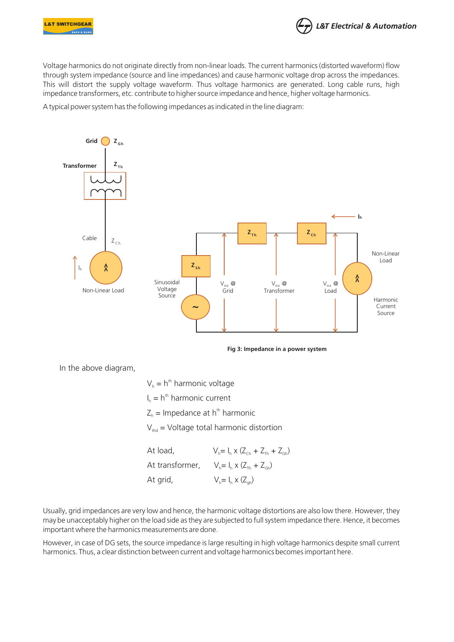



Voltage harmonics do not originate directly from non-linear loads. The current harmonics (distorted waveform) flow through system impedance (source and line impedances) and cause harmonic voltage drop across the impedances. This will distort the supply voltage waveform. Thus voltage harmonics are generated. Long cable runs, high impedance transformers, etc. contribute to higher source impedance and hence, higher voltage harmonics.

A typical power system has the following impedances as indicated in the line diagram:



**Fig 3: Impedance in a power system**

In the above diagram,

 $V_h = h<sup>th</sup>$  harmonic voltage  $I_n = h^{th}$  harmonic current  $Z_h$  = Impedance at h<sup>th</sup> harmonic  $V_{\text{thd}}$  = Voltage total harmonic distortion At load,  $V_{h} = I_{h} \times (Z_{ch} + Z_{th} + Z_{ch})$ At transformer,  $V_h = I_h \times (Z_{Th} + Z_{gh})$ 

At grid,  $V_i = I_i \times (Z_i)$ 

Usually, grid impedances are very low and hence, the harmonic voltage distortions are also low there. However, they may be unacceptably higher on the load side as they are subjected to full system impedance there. Hence, it becomes important where the harmonics measurements are done.

However, in case of DG sets, the source impedance is large resulting in high voltage harmonics despite small current harmonics. Thus, a clear distinction between current and voltage harmonics becomesimportant here.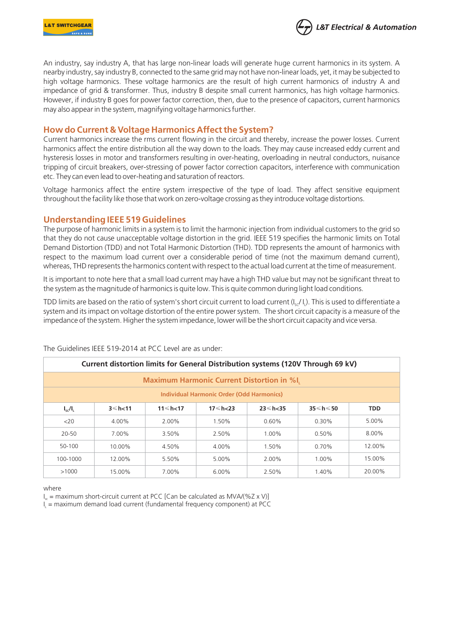



An industry, say industry A, that has large non-linear loads will generate huge current harmonics in its system. A nearby industry,say industry B, connected to the same grid may not have non-linear loads, yet, it may be subjected to high voltage harmonics. These voltage harmonics are the result of high current harmonics of industry A and impedance of grid & transformer. Thus, industry B despite small current harmonics, has high voltage harmonics. However, if industry B goes for power factor correction, then, due to the presence of capacitors, current harmonics may also appear in the system, magnifying voltage harmonics further.

#### **How do Current & Voltage Harmonics Affectthe System?**

Current harmonics increase the rms current flowing in the circuit and thereby, increase the power losses. Current harmonics affect the entire distribution all the way down to the loads. They may cause increased eddy current and hysteresis losses in motor and transformers resulting in over-heating, overloading in neutral conductors, nuisance tripping of circuit breakers, over-stressing of power factor correction capacitors, interference with communication etc. They can even lead to over-heating and saturation of reactors.

Voltage harmonics affect the entire system irrespective of the type of load. They affect sensitive equipment throughout the facility like those that work on zero-voltage crossing asthey introduce voltage distortions.

### **Understanding IEEE 519 Guidelines**

The purpose of harmonic limits in a system is to limit the harmonic injection from individual customers to the grid so that they do not cause unacceptable voltage distortion in the grid. IEEE 519 specifies the harmonic limits on Total Demand Distortion (TDD) and not Total Harmonic Distortion (THD). TDD represents the amount of harmonics with respect to the maximum load current over a considerable period of time (not the maximum demand current), whereas, THD represents the harmonics content with respect to the actual load current at the time of measurement.

It is important to note here that a small load current may have a high THD value but may not be significant threat to the system asthe magnitude of harmonicsis quite low. Thisis quite common during light load conditions.

TDD limits are based on the ratio of system's short circuit current to load current  $(I_{\rm sc}/I_{\rm i})$ . This is used to differentiate a system and its impact on voltage distortion of the entire power system. The short circuit capacity is a measure of the impedance of the system. Higher the system impedance, lower will be the short circuit capacity and vice versa.

| Current distortion limits for General Distribution systems (120V Through 69 kV) |                 |                 |          |                 |         |            |  |
|---------------------------------------------------------------------------------|-----------------|-----------------|----------|-----------------|---------|------------|--|
| <b>Maximum Harmonic Current Distortion in %I,</b>                               |                 |                 |          |                 |         |            |  |
| Individual Harmonic Order (Odd Harmonics)                                       |                 |                 |          |                 |         |            |  |
| $I_{sc}/I_{L}$                                                                  | $3 \leq h < 11$ | $11 \le h < 17$ | 17≤h<23  | $23 \le h < 35$ | 35≤h≤50 | <b>TDD</b> |  |
| <20                                                                             | 4.00%           | 2.00%           | 1.50%    | 0.60%           | 0.30%   | 5.00%      |  |
| $20 - 50$                                                                       | 7.00%           | 3.50%           | 2.50%    | 1.00%           | 0.50%   | 8.00%      |  |
| 50-100                                                                          | 10.00%          | 4.50%           | 4.00%    | 1.50%           | 0.70%   | 12.00%     |  |
| 100-1000                                                                        | 12.00%          | 5.50%           | 5.00%    | 2.00%           | 1.00%   | 15.00%     |  |
| >1000                                                                           | 15.00%          | 7.00%           | $6.00\%$ | 2.50%           | 1.40%   | 20.00%     |  |

The Guidelines IEEE 519-2014 at PCC Level are as under:

where

 $I_{\alpha}$  = maximum short-circuit current at PCC [Can be calculated as MVA/(%Z x V)]

 $I<sub>l</sub>$  = maximum demand load current (fundamental frequency component) at PCC